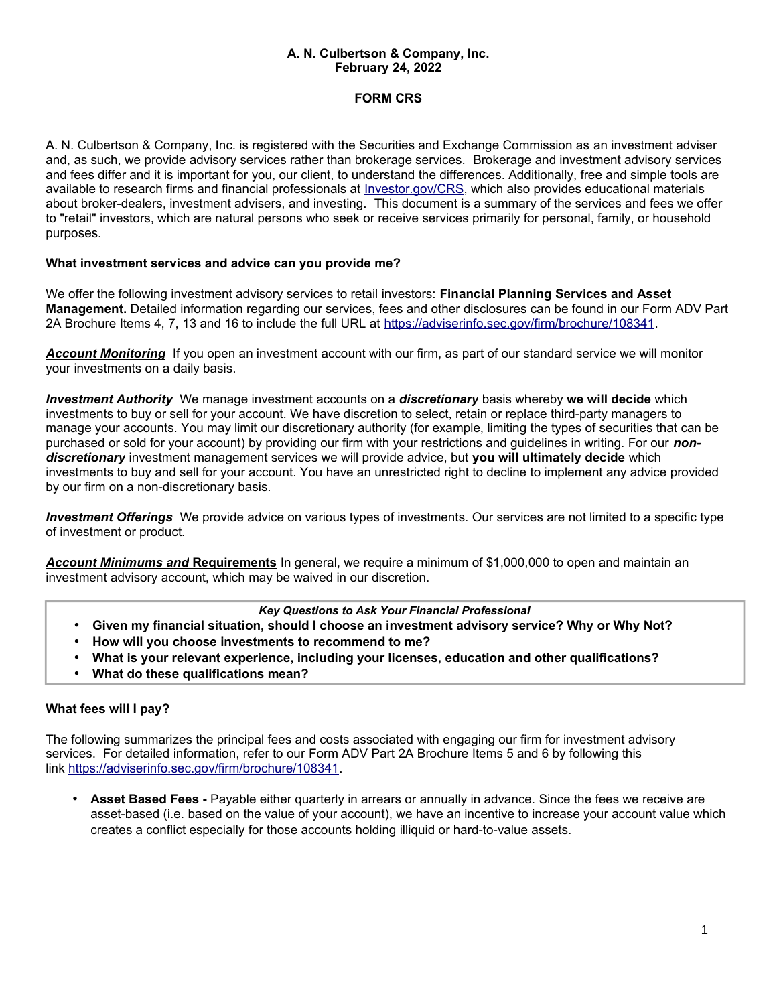### **A. N. Culbertson & Company, Inc. February 24, 2022**

# **FORM CRS**

A. N. Culbertson & Company, Inc. is registered with the Securities and Exchange Commission as an investment adviser and, as such, we provide advisory services rather than brokerage services. Brokerage and investment advisory services and fees differ and it is important for you, our client, to understand the differences. Additionally, free and simple tools are available to research firms and financial professionals at *Investor.gov/CRS*, which also provides educational materials about broker-dealers, investment advisers, and investing. This document is a summary of the services and fees we offer to "retail" investors, which are natural persons who seek or receive services primarily for personal, family, or household purposes.

## **What investment services and advice can you provide me?**

We offer the following investment advisory services to retail investors: **Financial Planning Services and Asset Management.** Detailed information regarding our services, fees and other disclosures can be found in our Form ADV Part 2A Brochure Items 4, 7, 13 and 16 to include the full URL at [https://adviserinfo.sec.gov/firm/brochure/108341.](https://adviserinfo.sec.gov/firm/brochure/108341)

*Account Monitoring* If you open an investment account with our firm, as part of our standard service we will monitor your investments on a daily basis.

*Investment Authority* We manage investment accounts on a *discretionary* basis whereby **we will decide** which investments to buy or sell for your account. We have discretion to select, retain or replace third-party managers to manage your accounts. You may limit our discretionary authority (for example, limiting the types of securities that can be purchased or sold for your account) by providing our firm with your restrictions and guidelines in writing. For our *nondiscretionary* investment management services we will provide advice, but **you will ultimately decide** which investments to buy and sell for your account. You have an unrestricted right to decline to implement any advice provided by our firm on a non-discretionary basis.

 *Investment Offerings* We provide advice on various types of investments. Our services are not limited to a specific type of investment or product.

 *Account Minimums and* **Requirements** In general, we require a minimum of \$1,000,000 to open and maintain an investment advisory account, which may be waived in our discretion.

### *Key Questions to Ask Your Financial Professional*

- **Given my financial situation, should I choose an investment advisory service? Why or Why Not?**
- **How will you choose investments to recommend to me?**
- **What is your relevant experience, including your licenses, education and other qualifications?**
- **What do these qualifications mean?**

## **What fees will I pay?**

The following summarizes the principal fees and costs associated with engaging our firm for investment advisory services. For detailed information, refer to our Form ADV Part 2A Brochure Items 5 and 6 by following this link [https://adviserinfo.sec.gov/firm/brochure/108341.](https://adviserinfo.sec.gov/firm/brochure/108341)

• **Asset Based Fees -** Payable either quarterly in arrears or annually in advance. Since the fees we receive are asset-based (i.e. based on the value of your account), we have an incentive to increase your account value which creates a conflict especially for those accounts holding illiquid or hard-to-value assets.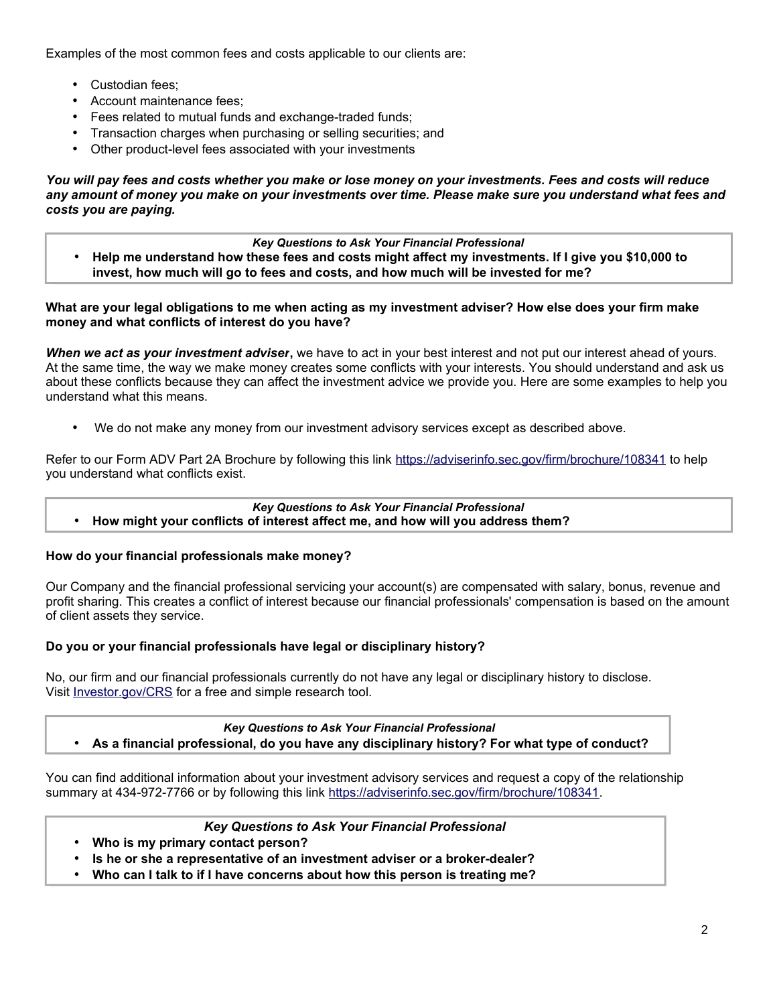Examples of the most common fees and costs applicable to our clients are:

- Custodian fees;
- Account maintenance fees;
- Fees related to mutual funds and exchange-traded funds;
- Transaction charges when purchasing or selling securities; and
- Other product-level fees associated with your investments

*You will pay fees and costs whether you make or lose money on your investments. Fees and costs will reduce any amount of money you make on your investments over time. Please make sure you understand what fees and costs you are paying.*

#### *Key Questions to Ask Your Financial Professional*

• **Help me understand how these fees and costs might affect my investments. If I give you \$10,000 to invest, how much will go to fees and costs, and how much will be invested for me?**

### **What are your legal obligations to me when acting as my investment adviser? How else does your firm make money and what conflicts of interest do you have?**

*When we act as your investment adviser***,** we have to act in your best interest and not put our interest ahead of yours. At the same time, the way we make money creates some conflicts with your interests. You should understand and ask us about these conflicts because they can affect the investment advice we provide you. Here are some examples to help you understand what this means.

• We do not make any money from our investment advisory services except as described above.

Refer to our Form ADV Part 2A Brochure by following this link <https://adviserinfo.sec.gov/firm/brochure/108341> to help you understand what conflicts exist.

# *Key Questions to Ask Your Financial Professional*

• **How might your conflicts of interest affect me, and how will you address them?**

## **How do your financial professionals make money?**

Our Company and the financial professional servicing your account(s) are compensated with salary, bonus, revenue and profit sharing. This creates a conflict of interest because our financial professionals' compensation is based on the amount of client assets they service.

## **Do you or your financial professionals have legal or disciplinary history?**

No, our firm and our financial professionals currently do not have any legal or disciplinary history to disclose. Visit **[Investor.gov/CRS](http://www.investor.gov/crs)** for a free and simple research tool.

## *Key Questions to Ask Your Financial Professional* • **As a financial professional, do you have any disciplinary history? For what type of conduct?**

You can find additional information about your investment advisory services and request a copy of the relationship summary at 434-972-7766 or by following this link [https://adviserinfo.sec.gov/firm/brochure/108341.](https://adviserinfo.sec.gov/firm/brochure/108341)

## *Key Questions to Ask Your Financial Professional*

- **Who is my primary contact person?**
- **Is he or she a representative of an investment adviser or a broker-dealer?**
- **Who can I talk to if I have concerns about how this person is treating me?**